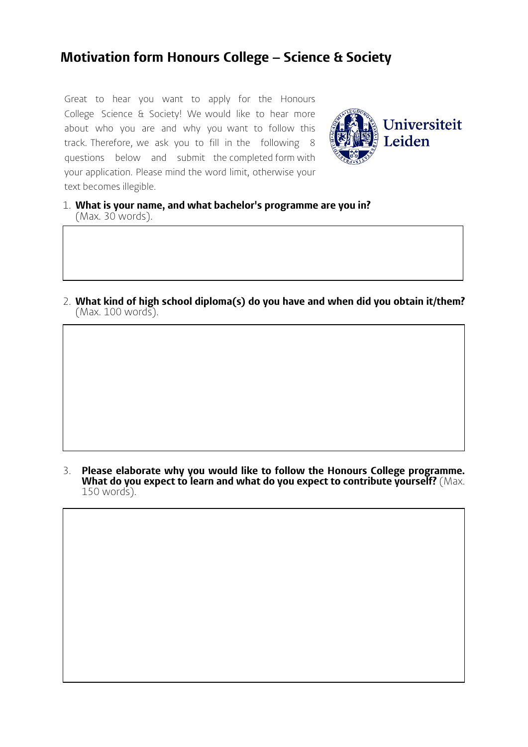## **Motivation form Honours College – Science & Society**

Great to hear you want to apply for the Honours College Science & Society! We would like to hear more about who you are and why you want to follow this track. Therefore, we ask you to fill in the following 8 questions below and submit the completed form with your application. Please mind the word limit, otherwise your text becomes illegible.



- 1. **What is your name, and what bachelor's programme are you in?** (Max. 30 words).
- 2. **What kind of high school diploma(s) do you have and when did you obtain it/them?** (Max. 100 words).

3. **Please elaborate why you would like to follow the Honours College programme. What do you expect to learn and what do you expect to contribute yourself?** (Max. 150 words).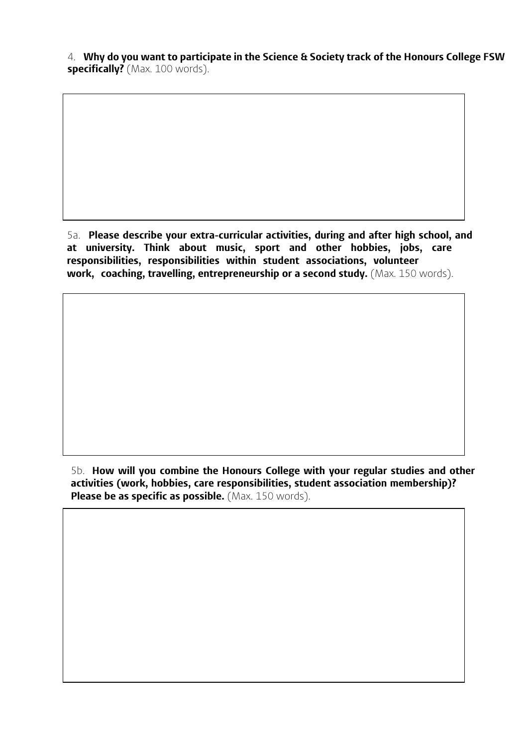4. **Why do you want to participate in the Science & Society track of the Honours College FSW specifically?** (Max. 100 words).

5a. **Please describe your extra-curricular activities, during and after high school, and at university. Think about music, sport and other hobbies, jobs, care responsibilities, responsibilities within student associations, volunteer work, coaching, travelling, entrepreneurship or a second study.** (Max. 150 words).

5b. **How will you combine the Honours College with your regular studies and other activities (work, hobbies, care responsibilities, student association membership)? Please be as specific as possible.** (Max. 150 words).